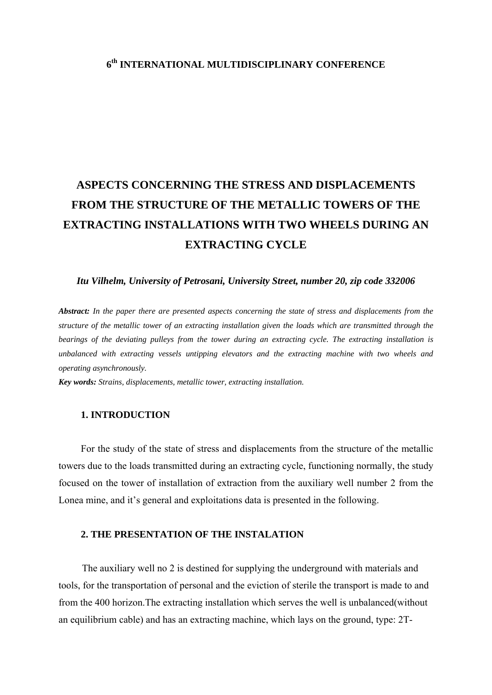# **6th INTERNATIONAL MULTIDISCIPLINARY CONFERENCE**

# **ASPECTS CONCERNING THE STRESS AND DISPLACEMENTS FROM THE STRUCTURE OF THE METALLIC TOWERS OF THE EXTRACTING INSTALLATIONS WITH TWO WHEELS DURING AN EXTRACTING CYCLE**

#### *Itu Vilhelm, University of Petrosani, University Street, number 20, zip code 332006*

*Abstract: In the paper there are presented aspects concerning the state of stress and displacements from the structure of the metallic tower of an extracting installation given the loads which are transmitted through the bearings of the deviating pulleys from the tower during an extracting cycle. The extracting installation is unbalanced with extracting vessels untipping elevators and the extracting machine with two wheels and operating asynchronously.*

*Key words: Strains, displacements, metallic tower, extracting installation.* 

### **1. INTRODUCTION**

 For the study of the state of stress and displacements from the structure of the metallic towers due to the loads transmitted during an extracting cycle, functioning normally, the study focused on the tower of installation of extraction from the auxiliary well number 2 from the Lonea mine, and it's general and exploitations data is presented in the following.

#### **2. THE PRESENTATION OF THE INSTALATION**

The auxiliary well no 2 is destined for supplying the underground with materials and tools, for the transportation of personal and the eviction of sterile the transport is made to and from the 400 horizon.The extracting installation which serves the well is unbalanced(without an equilibrium cable) and has an extracting machine, which lays on the ground, type: 2T-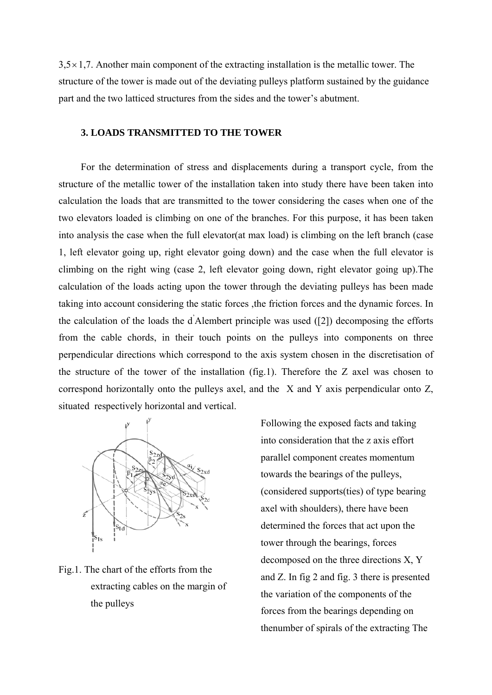$3,5 \times 1,7$ . Another main component of the extracting installation is the metallic tower. The structure of the tower is made out of the deviating pulleys platform sustained by the guidance part and the two latticed structures from the sides and the tower's abutment.

# **3. LOADS TRANSMITTED TO THE TOWER**

 For the determination of stress and displacements during a transport cycle, from the structure of the metallic tower of the installation taken into study there have been taken into calculation the loads that are transmitted to the tower considering the cases when one of the two elevators loaded is climbing on one of the branches. For this purpose, it has been taken into analysis the case when the full elevator(at max load) is climbing on the left branch (case 1, left elevator going up, right elevator going down) and the case when the full elevator is climbing on the right wing (case 2, left elevator going down, right elevator going up).The calculation of the loads acting upon the tower through the deviating pulleys has been made taking into account considering the static forces ,the friction forces and the dynamic forces. In the calculation of the loads the  $\vec{d}$  Alembert principle was used ([2]) decomposing the efforts from the cable chords, in their touch points on the pulleys into components on three perpendicular directions which correspond to the axis system chosen in the discretisation of the structure of the tower of the installation (fig.1). Therefore the Z axel was chosen to correspond horizontally onto the pulleys axel, and the X and Y axis perpendicular onto Z, situated respectively horizontal and vertical.



Fig.1. The chart of the efforts from the extracting cables on the margin of the pulleys

Following the exposed facts and taking into consideration that the z axis effort parallel component creates momentum towards the bearings of the pulleys, (considered supports(ties) of type bearing axel with shoulders), there have been determined the forces that act upon the tower through the bearings, forces decomposed on the three directions X, Y and Z. In fig 2 and fig. 3 there is presented the variation of the components of the forces from the bearings depending on thenumber of spirals of the extracting The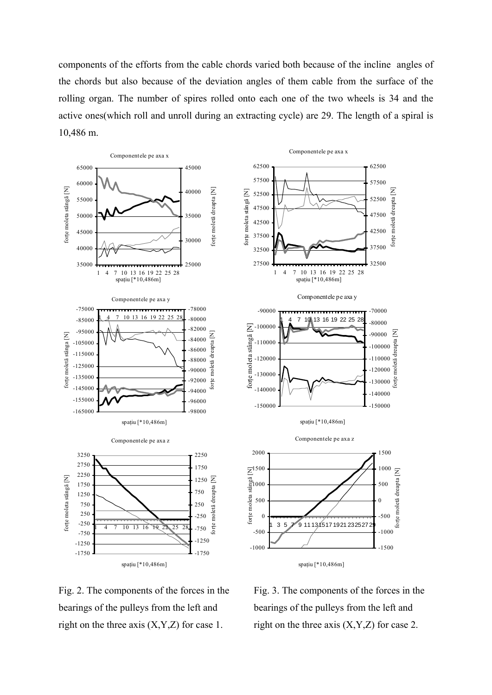components of the efforts from the cable chords varied both because of the incline angles of the chords but also because of the deviation angles of them cable from the surface of the rolling organ. The number of spires rolled onto each one of the two wheels is 34 and the active ones(which roll and unroll during an extracting cycle) are 29. The length of a spiral is 10,486 m.



Fig. 2. The components of the forces in the bearings of the pulleys from the left and right on the three axis  $(X, Y, Z)$  for case 1.

Fig. 3. The components of the forces in the bearings of the pulleys from the left and right on the three axis  $(X, Y, Z)$  for case 2.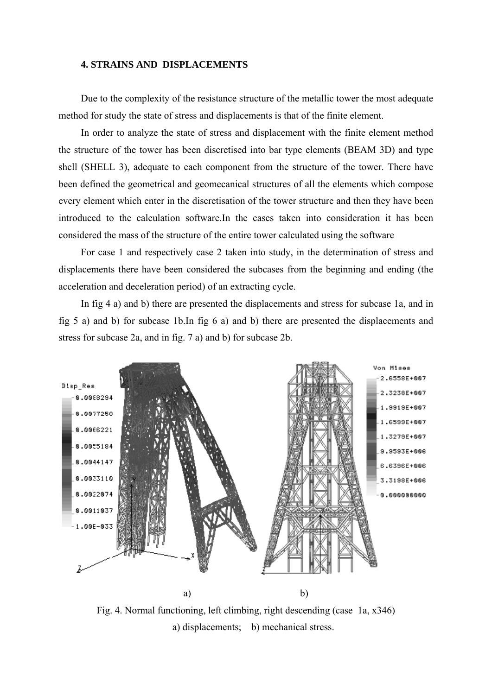### **4. STRAINS AND DISPLACEMENTS**

 Due to the complexity of the resistance structure of the metallic tower the most adequate method for study the state of stress and displacements is that of the finite element.

 In order to analyze the state of stress and displacement with the finite element method the structure of the tower has been discretised into bar type elements (BEAM 3D) and type shell (SHELL 3), adequate to each component from the structure of the tower. There have been defined the geometrical and geomecanical structures of all the elements which compose every element which enter in the discretisation of the tower structure and then they have been introduced to the calculation software.In the cases taken into consideration it has been considered the mass of the structure of the entire tower calculated using the software

 For case 1 and respectively case 2 taken into study, in the determination of stress and displacements there have been considered the subcases from the beginning and ending (the acceleration and deceleration period) of an extracting cycle.

 In fig 4 a) and b) there are presented the displacements and stress for subcase 1a, and in fig 5 a) and b) for subcase 1b.In fig 6 a) and b) there are presented the displacements and stress for subcase 2a, and in fig. 7 a) and b) for subcase 2b.



Fig. 4. Normal functioning, left climbing, right descending (case 1a, x346) a) displacements; b) mechanical stress.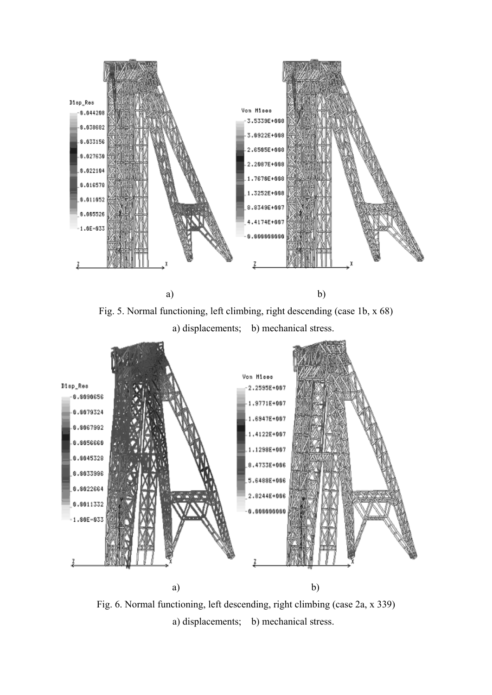

Fig. 5. Normal functioning, left climbing, right descending (case 1b, x 68)

a) displacements; b) mechanical stress.



Fig. 6. Normal functioning, left descending, right climbing (case 2a, x 339) a) displacements; b) mechanical stress.